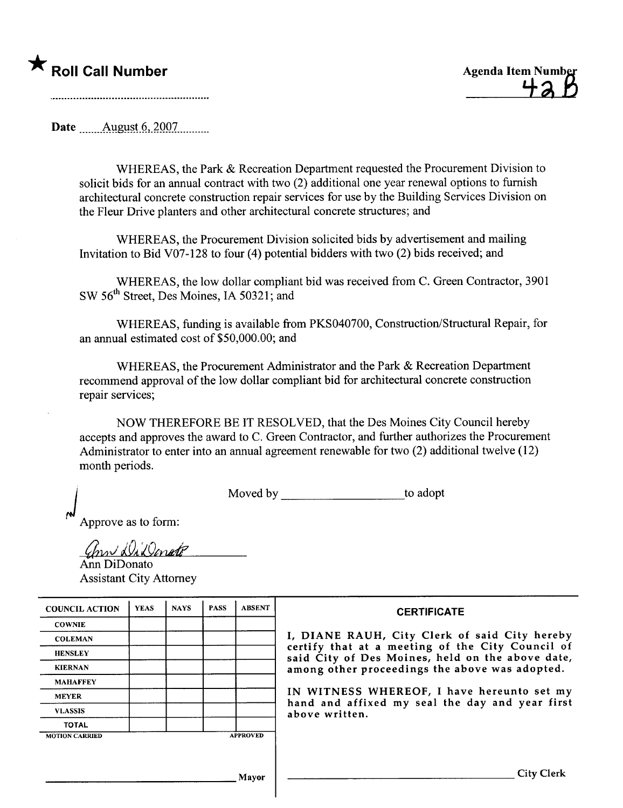

Date \_\_....Allgl~t-~,\_7.QQ1....\_\_\_\_

WHEREAS, the Park & Recreation Department requested the Procurement Division to solicit bids for an annual contract with two (2) additional one year renewal options to furnish architectural concrete construction repair services for use by the Building Services Division on the Fleur Drive planters and other architectural concrete structures; and

WHEREAS, the Procurement Division solicited bids by advertisement and mailing Invitation to Bid V07-128 to four (4) potential bidders with two (2) bids received; and

WHEREAS, the low dollar compliant bid was received from C. Green Contractor, 3901 SW 56<sup>th</sup> Street, Des Moines, IA 50321; and

WHEREAS, funding is available from PKS040700, Construction/Structural Repair, for an anual estimated cost of \$50,000.00; and

WHEREAS, the Procurement Administrator and the Park & Recreation Deparment recommend approval of the low dollar compliant bid for architectural concrete construction repair services;

NOW THEREFORE BE IT RESOLVED, that the Des Moines City Council hereby accepts and approves the award to C. Green Contractor, and further authorizes the Procurement Administrator to enter into an annual agreement renewable for two (2) additional twelve (12) month periods.

Moved by to adopt

Approve as to form:

(hrn DiDonate

Ann DiDonato Assistant City Attorney

| <b>COUNCIL ACTION</b> | <b>YEAS</b> | <b>NAYS</b> | <b>PASS</b> | <b>ABSENT</b>   | <b>CERTIFICATE</b>                                                                                   |
|-----------------------|-------------|-------------|-------------|-----------------|------------------------------------------------------------------------------------------------------|
| <b>COWNIE</b>         |             |             |             |                 |                                                                                                      |
| <b>COLEMAN</b>        |             |             |             |                 | I, DIANE RAUH, City Clerk of said City hereby                                                        |
| <b>HENSLEY</b>        |             |             |             |                 | certify that at a meeting of the City Council of<br>said City of Des Moines, held on the above date, |
| <b>KIERNAN</b>        |             |             |             |                 | among other proceedings the above was adopted.                                                       |
| <b>MAHAFFEY</b>       |             |             |             |                 |                                                                                                      |
| <b>MEYER</b>          |             |             |             |                 | IN WITNESS WHEREOF, I have hereunto set my                                                           |
| <b>VLASSIS</b>        |             |             |             |                 | hand and affixed my seal the day and year first<br>above written.                                    |
| <b>TOTAL</b>          |             |             |             |                 |                                                                                                      |
| <b>MOTION CARRIED</b> |             |             |             | <b>APPROVED</b> |                                                                                                      |
|                       |             |             |             |                 |                                                                                                      |
|                       |             |             |             |                 |                                                                                                      |
|                       |             |             |             | Mayor           | <b>City Clerk</b>                                                                                    |